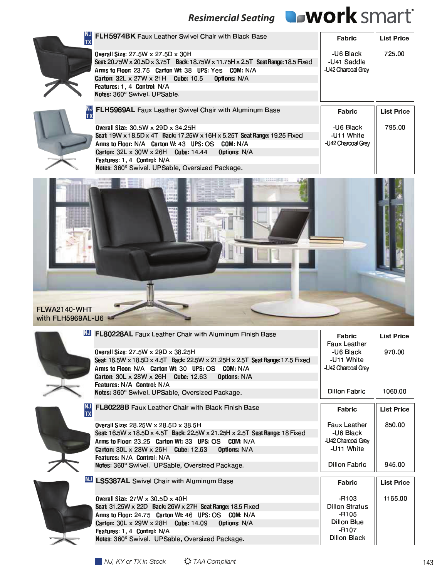

. . . . . .

---



\_\_\_ , - . / <sup>0</sup> ¤ ¥ ¦ <sup>3</sup> <sup>4</sup> <sup>5</sup> <sup>6</sup> <sup>7</sup> <sup>8</sup> <sup>4</sup> <sup>9</sup> : <sup>8</sup> ; <sup>&</sup>lt; <sup>=</sup> <sup>&</sup>gt; ? <sup>8</sup> @ <sup>A</sup> : <sup>4</sup> <sup>&</sup>gt; ; <sup>=</sup> <sup>&</sup>gt; 9 : <sup>E</sup> @ 4 <sup>E</sup> <sup>4</sup> <sup>F</sup> <sup>8</sup> G <sup>H</sup> <sup>I</sup> <sup>J</sup> <sup>K</sup> <sup>L</sup> <sup>L</sup> <sup>M</sup> <sup>N</sup> O <sup>I</sup> <sup>P</sup> V b <sup>S</sup> <sup>T</sup> <sup>U</sup> 6 <sup>V</sup> b <sup>S</sup> <sup>T</sup> <sup>X</sup> <sup>6</sup> Q <sup>R</sup> <sup>Z</sup> M <sup>I</sup> <sup>K</sup> [ <sup>P</sup> V R <sup>S</sup> b <sup>T</sup> <sup>U</sup> 6 <sup>V</sup> R <sup>S</sup> T <sup>X</sup> <sup>6</sup> Q <sup>S</sup> <sup>b</sup> <sup>T</sup> ^ \_ <sup>K</sup> ` <sup>a</sup> <sup>P</sup> \ ] <sup>S</sup> b <sup>T</sup> <sup>U</sup> 6 \ \ <sup>S</sup> b <sup>T</sup> <sup>Z</sup> 6 <sup>V</sup> S T ^ <sup>M</sup> <sup>I</sup> <sup>K</sup> [ <sup>d</sup> <sup>K</sup> <sup>e</sup> <sup>f</sup> <sup>I</sup> <sup>P</sup> \ ] <sup>S</sup> <sup>T</sup> 3 <sup>&</sup>gt; 6 <sup>8</sup> <sup>g</sup>  $\blacksquare$  in the property of the property of the property of the property of the property of the property of the property of the property of the property of the property of the property of the property of the property of the o v koji podređeni po vrijeme u vrijeme po vrije po vrije po vrije po vrije po vrije po vrije po vrije po vrij l I k a local post in the first series of the first series of the first series of the first series of the first y <sup>k</sup> [ <sup>I</sup> <sup>j</sup> <sup>P</sup> <sup>Q</sup> <sup>c</sup> <sup>R</sup> <sup>z</sup> <sup>&</sup>lt; <sup>=</sup> <sup>&</sup>gt; ? <sup>8</sup> @ S { <sup>|</sup> < <sup>4</sup> } @ <sup>8</sup> S - - - $\overline{\phantom{a}}$  Life Black  $\overline{\phantom{a}}$   $\overline{\phantom{a}}$   $\overline{\phantom{a}}$   $\overline{\phantom{a}}$   $\overline{\phantom{a}}$   $\overline{\phantom{a}}$   $\overline{\phantom{a}}$   $\overline{\phantom{a}}$   $\overline{\phantom{a}}$   $\overline{\phantom{a}}$   $\overline{\phantom{a}}$   $\overline{\phantom{a}}$   $\overline{\phantom{a}}$   $\overline{\phantom{a}}$   $\overline{\phantom{a}}$   $\overline{\phantom{a}}$   $\overline{\phantom{a}}$   $\overline{\phantom{a}}$   $\overline{\$ --------------



| <b>FLH5969AL</b> Faux Leather Swivel Chair with Aluminum Base             | Fabric             | <b>List Price</b> |
|---------------------------------------------------------------------------|--------------------|-------------------|
| <b>Overall Size: 30.5W x 29D x 34.25H</b>                                 | -U6 Black          | 795.00            |
| Seat: 19W x 18.5D x 4T Back: 17.25W x 16H x 5.25T Seat Range: 19.25 Fixed | -U11 White         |                   |
| Arms to Floor: N/A Carton W: 43 UPS: OS COM: N/A                          | -U42 Charcoal Grev |                   |
| Carton: $32L \times 30W \times 26H$ Cube: 14.44<br><b>Options: N/A</b>    |                    |                   |
| Features: 1, 4 Control: N/A                                               |                    |                   |
| Notes: 360° Swivel. UPSable, Oversized Package.                           |                    |                   |



|           | NJ FL80228AL Faux Leather Chair with Aluminum Finish Base                     | <b>Fabric</b><br><b>Faux Leather</b> | <b>List Price</b> |
|-----------|-------------------------------------------------------------------------------|--------------------------------------|-------------------|
|           | Overall Size: 27.5W x 29D x 38.25H                                            | -U6 Black                            | 970.00            |
|           | Seat: 16.5W x 18.5D x 4.5T Back: 22.5W x 21.25H x 2.5T Seat Range: 17.5 Fixed | -U11 White                           |                   |
|           | Arms to Floor: N/A Carton Wt: 30 UPS: OS COM: N/A                             | -U42 Charcoal Grey                   |                   |
|           | Carton: $30L \times 28W \times 26H$ Cube: 12.63<br>Options: N/A               |                                      |                   |
|           | Features: N/A Control: N/A                                                    |                                      |                   |
|           | Notes: 360° Swivel. UPSable, Oversized Package.                               | <b>Dillon Fabric</b>                 | 1060.00           |
|           |                                                                               |                                      |                   |
| <b>TX</b> | FL80228B Faux Leather Chair with Black Finish Base                            | Fabric                               | <b>List Price</b> |
|           |                                                                               | <b>Faux Leather</b>                  | 850.00            |
|           | Overall Size: 28.25W x 28.5D x 38.5H                                          |                                      |                   |
|           | Seat 16.5W x 18.5D x 4.5T Back: 22.5W x 21.25H x 2.5T Seat Range: 18 Fixed    | -U6 Black                            |                   |
|           | Arms to Floor: 23.25 Carton Wt: 33 UPS: OS COM: N/A                           | -U42 Charcoal Grey                   |                   |
|           | Carton: $30L \times 28W \times 26H$ Cube: 12.63<br>Options N/A                | -U11 White                           |                   |
|           | Features: N/A Control: N/A                                                    |                                      |                   |
|           | Notes: 360° Swivel. UPSable, Oversized Package.                               | <b>Dillon Fabric</b>                 | 945.00            |
|           |                                                                               |                                      |                   |
|           | <b>NJ LS5387AL</b> Swivel Chair with Aluminum Base                            | Fabric                               | <b>List Price</b> |
|           | Overall Size: 27W x 30.5D x 40H                                               | $-R103$                              | 1165.00           |
|           | Seat: 31.25W x 22D Back: 26W x 27H Seat Range: 18.5 Fixed                     | <b>Dillon Stratus</b>                |                   |
|           | Arms to Floor: 24.75 Carton Wt: 46 UPS: OS COM: N/A                           | $-R105$                              |                   |
|           | Carton: $30L \times 29W \times 28H$ Cube: 14.09<br>Options: N/A               | Dillon Blue                          |                   |
|           |                                                                               | -R107                                |                   |
|           | Features: 1, 4 Control: N/A                                                   | <b>Dillon Black</b>                  |                   |
|           | Notes: 360° Swivel. UPSable, Oversized Package.                               |                                      |                   |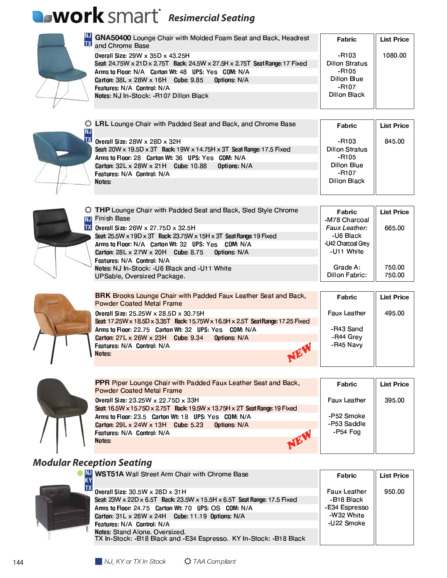# **Resimercial Seating**

| <b>TX</b> | GNA50400 Lounge Chair with Molded Foam Seat and Back, Headrest<br>and Chrome Base                              | <b>Fabric</b>                  | <b>List Price</b> |
|-----------|----------------------------------------------------------------------------------------------------------------|--------------------------------|-------------------|
|           |                                                                                                                |                                | 1080.00           |
|           | Overall Size: 29W x 35D x 43.25H<br>Seat 24.75W x 21D x 2.75T Back: 24.5W x 27.5H x 2.75T Seat Range: 17 Fixed | -R103<br><b>Dillon Stratus</b> |                   |
|           | Arms to Floor: N/A Carton Wt: 48 UPS: Yes COM: N/A                                                             | $-R105$                        |                   |
|           | Carton: 38L x 28W x 16H Cube: 9.85<br>Options: N/A                                                             | Dillon Blue                    |                   |
|           | Features: N/A Control: N/A                                                                                     | $-R107$                        |                   |
|           | Notes: NJ In-Stock: -R107 Dillon Black                                                                         | <b>Dillon Black</b>            |                   |
|           |                                                                                                                |                                |                   |
|           | <b>The LRL</b> Lounge Chair with Padded Seat and Back, and Chrome Base                                         |                                |                   |
| ΝJ        |                                                                                                                | Fabric                         | <b>List Price</b> |
| <b>TX</b> | Overall Size: 28W x 28D x 32H                                                                                  | -R103                          | 845.00            |
|           | Seat: 20W x 19.5D x 3T Back: 19W x 14.75H x 3T Seat Range: 17.5 Fixed                                          | Dillon Stratus                 |                   |
|           | Arms to Floor: 28 Carton Wt: 36 UPS: Yes COM: N/A                                                              | $-R105$                        |                   |
|           | Carton: $32L \times 28W \times 21H$ Cube: 10.88<br>Options: N/A                                                | Dillon Blue                    |                   |
|           | Features: N/A Control: N/A                                                                                     | $-R107$                        |                   |
|           | Notes:                                                                                                         | <b>Dillon Black</b>            |                   |
|           |                                                                                                                |                                |                   |
|           |                                                                                                                |                                |                   |
|           | THP Lounge Chair with Padded Seat and Back, Sled Style Chrome                                                  | <b>Fabric</b>                  | <b>List Price</b> |
|           | <b>NJ</b> Finish Base                                                                                          | -M78 Charcoal                  |                   |
|           | $IX$ Overall Size: 26W x 27.75D x 32.5H                                                                        | Faux Leather:                  | 665.00            |
|           | Seat: 25.5W x 19D x 3T Back: 23.75W x 15H x 3T Seat Range: 19 Fixed                                            | -U6 Black                      |                   |
|           | Arms to Floor: N/A Carton Wt: 32 UPS: Yes COM: N/A                                                             | -U42 Charcoal Grey             |                   |
|           | Carton: $28L \times 27W \times 20H$ Cube: 8.75<br>Options N/A                                                  | -U11 White                     |                   |
|           | Features: N/A Control: N/A                                                                                     |                                |                   |
|           | Notes: NJ In-Stock: - U6 Black and - U11 White                                                                 | Grade A:                       | 750.00            |
|           | <b>UPSable, Oversized Package.</b>                                                                             | Dillon Fabric:                 | 750.00            |
|           |                                                                                                                |                                |                   |
|           | <b>BRK</b> Brooks Lounge Chair with Padded Faux Leather Seat and Back,                                         | <b>Fabric</b>                  | <b>List Price</b> |
|           | <b>Powder Coated Metal Frame</b>                                                                               |                                |                   |
|           | Overall Size: 25.25W x 28.5D x 30.75H                                                                          | <b>Faux Leather</b>            | 495.00            |
|           | Seat: 17.25W x 18.5D x 3.35T Back: 15.75W x 16.5H x 2.5T Seat Range: 17.25 Fixed                               |                                |                   |
|           | Arms to Floor: 22.75 Carton Wt: 32 UPS: Yes COM: N/A                                                           | -R43 Sand                      |                   |
|           | Carton: 27L x 26W x 23H Cube: 9.34<br><b>Options N/A</b>                                                       | -R44 Grey                      |                   |
|           | Features: N/A Control: N/A                                                                                     | -R45 Navy                      |                   |
|           | Notes:                                                                                                         |                                |                   |
|           |                                                                                                                |                                |                   |
|           |                                                                                                                |                                |                   |

| PPR Piper Lounge Chair with Padded Faux Leather Seat and Back,<br><b>Powder Coated Metal Frame</b> | Fabric              | <b>List Price</b> |
|----------------------------------------------------------------------------------------------------|---------------------|-------------------|
| Overall Size: 23.25W x 22.75D x 33H                                                                | <b>Faux Leather</b> | 395.00            |
| Seat: 16.5W x 15.75D x 2.75T Back: 19.5W x 13.75H x 2T Seat Range: 19 Fixed                        |                     |                   |
| Arms to Floor: 23.5 Carton Wt: 18 UPS: Yes COM: N/A                                                | -P52 Smoke          |                   |
| Carton: 29L x 24W x 13H Cube: 5.23 Options: N/A                                                    | -P53 Saddle         |                   |
| Features: N/A Control: N/A                                                                         | $-P54 Foq$          |                   |
| JEV<br>Notes:                                                                                      |                     |                   |
|                                                                                                    |                     |                   |

### **Modular Reception Seating**

| <b>SEAU</b> WST51A Wall Street Arm Chair with Chrome Base                                               | Fabric              | <b>List Price</b> |
|---------------------------------------------------------------------------------------------------------|---------------------|-------------------|
| Overall Size: 30.5W x 28D x 31H                                                                         | <b>Faux Leather</b> | 950.00            |
| Seat: 23W x 22D x 6.5T Back: 23.5W x 15.5H x 6.5T Seat Range: 17.5 Fixed                                | -B18 Black          |                   |
| Arms to Floor: 24.75 Carton Wt: 70 UPS: OS COM: N/A                                                     | -E34 Espresso       |                   |
| Carton: 31L x 26W x 24H Cube: 11.19 Options: N/A                                                        | -W32 White          |                   |
| Features: N/A Control: N/A                                                                              | -U22 Smoke          |                   |
| Notes: Stand Alone, Oversized.<br>TX In-Stock: - B18 Black and - E34 Espresso. KY In-Stock: - B18 Black |                     |                   |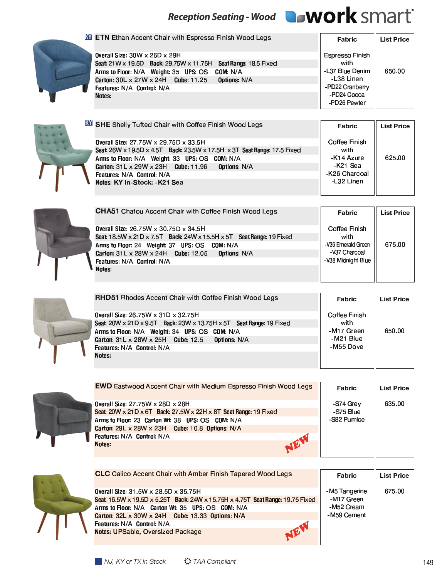## Reception Seating - Wood **QoWOrk** SMArt<sup>®</sup>

 $\mathbb{I}$ 



**XX** ETN Ethan Accent Chair with Espresso Finish Wood Legs Fabric **List Price** Overall Size: 30W x 26D x 29H **Espresso Finish** Seat: 21W x 19.5D Back: 29.75W x 11.75H Seat Range: 18.5 Fixed with Arms to Floor: N/A Weight: 35 UPS: OS COM: N/A -L37 Blue Denim 650.00 Carton: 30L x 27W x 24H Cube: 11.25 Options: N/A -L38 Linen -PD22 Cranberry Features: N/A Control: N/A -PD24 Cocoa Notes: -PD26 Pewter



| <b>XY SHE Shelly Tufted Chair with Coffee Finish Wood Legs</b>          | Fabric               | <b>List Price</b> |
|-------------------------------------------------------------------------|----------------------|-------------------|
| 0 verall Size: 27.75W x 29.75D x 33.5H                                  | <b>Coffee Finish</b> |                   |
| Seat 26W x 19.5D x 4.5T Back: 23.5W x 17.5H x 3T Seat Range: 17.5 Fixed | with                 |                   |
| Arms to Floor: N/A Weight: 33 UPS: OS COM: N/A                          | -K14 Azure           | 625.00            |
| Carton: 31L x 29W x 23H Cube: 11.96 Options: N/A                        | -K21 Sea             |                   |
| Features: N/A Control: N/A                                              | -K26 Charcoal        |                   |
| Notes: KY In-Stock: -K21 Sea                                            | -L32 Linen           |                   |



| <b>CHA51</b> Chatou Accent Chair with Coffee Finish Wood Legs                                                                                                                                                                 | Fabric                                                              | <b>List Price</b> |
|-------------------------------------------------------------------------------------------------------------------------------------------------------------------------------------------------------------------------------|---------------------------------------------------------------------|-------------------|
| Overall Size: 26.75W x 30.75D x 34.5H<br>Seat 18.5W x 21D x 7.5T Back: 24W x 15.5H x 5T Seat Range: 19 Fixed<br>Arms to Floor: 24 Weight: 37 UPS: OS COM: N/A<br>Carton: $31L \times 28W \times 24H$ Cube: 12.05 Options: N/A | <b>Coffee Finish</b><br>with<br>-V36 Emerald Green<br>-V37 Charcoal | 675.00            |
| <b>Features: N/A Control: N/A</b><br><b>Notes</b>                                                                                                                                                                             | -V38 Midnight Blue                                                  |                   |



| <b>RHD51</b> Rhodes Accent Chair with Coffee Finish Wood Legs                                                    | Fabric                       | <b>List Price</b> |
|------------------------------------------------------------------------------------------------------------------|------------------------------|-------------------|
| <b>Overall Size: 26.75W x 31D x 32.75H</b><br>Seat 20W x 21D x 9.5T Back: 23W x 13.75H x 5T Seat Range: 19 Fixed | <b>Coffee Finish</b><br>with |                   |
| Arms to Floor: N/A Weight: 34 UPS: OS COM: N/A                                                                   | -M17 Green                   | 650.00            |
| Carton: 31 L x 28W x 25H Cube: 12.5 Options: N/A                                                                 | -M21 Blue                    |                   |
| Features: N/A Control: N/A                                                                                       | -M55 Dove                    |                   |
| <b>Notes</b>                                                                                                     |                              |                   |



| <b>EWD</b> Eastwood Accent Chair with Medium Espresso Finish Wood Legs | <b>Fabric</b> | <b>List Price</b> |
|------------------------------------------------------------------------|---------------|-------------------|
| <b>Overall Size: 27.75W x 28D x 28H</b>                                | -S74 Grey     | 635.00            |
| Seat 20W x 21D x 6T Back: 27.5W x 22H x 8T Seat Range: 19 Fixed        | -S75 Blue     |                   |
| Arms to Floor: 23 Carton Wt: 38 UPS: OS COM: N/A                       | -S82 Pumice   |                   |
| Carton: $29L \times 28W \times 23H$ Cube: 10.8 Options: N/A            |               |                   |
| Features: N/A Control: N/A                                             |               |                   |
| Notes:                                                                 |               |                   |



| <b>CLC</b> Calico Accent Chair with Amber Finish Tapered Wood Legs                                                                                                                                                                                                                                                   | Fabric                                                   | <b>List Price</b> |
|----------------------------------------------------------------------------------------------------------------------------------------------------------------------------------------------------------------------------------------------------------------------------------------------------------------------|----------------------------------------------------------|-------------------|
| <b>Overall Size: 31.5W x 28.5D x 35.75H</b><br>Seat 16.5W x 19.5D x 5.25T Back: 24W x 15.75H x 4.75T Seat Range: 19.75 Fixed<br>Arms to Floor: N/A Carton Wt: 35 UPS: OS COM: N/A<br>Carton: $32L \times 30W \times 24H$ Cube: 13.33 Options: N/A<br>Features: N/A Control: N/A<br>Notes: UPSable, Oversized Package | -M5 Tangerine<br>-M17 Green<br>-M52 Cream<br>-M59 Cement | 675.00            |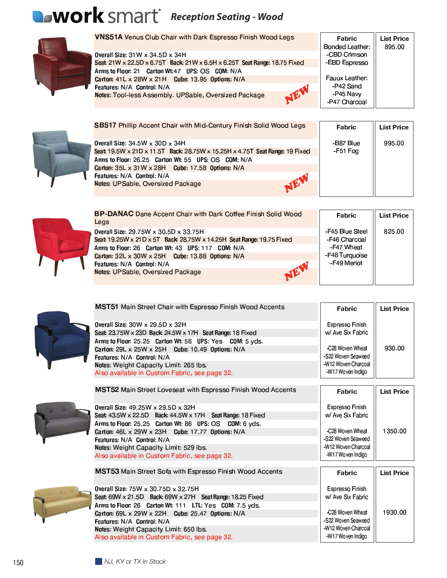## **NOTK** SMArt Reception Seating - Wood



VNS51A Venus Club Chair with Dark Espresso Finish Wood Legs Fabric **List Price Bonded Leather:** 895.00 Overall Size: 31W x 34.5D x 34H -CBD Crimson Seat 21W x 22.5D x 6.75T Back: 21W x 6.5H x 6.25T Seat Range: 18.75 Fixed -EBD Espresso Arms to Floor: 21 Carton Wt:47 UPS: OS COM: N/A Carton: 41 L x 28W x 21H Cube: 13.95 Options: N/A Fauux Leather: -P42 Sand Features: N/A Control: N/A NE -P45 Navy Notes: Tool-less Assembly. UPSable, Oversized Package -P47 Charcoal



| <b>SB517 Phillip Accent Chair with Mid-Century Finish Solid Wood Legs</b>   | Fabric    | <b>List Price</b> |
|-----------------------------------------------------------------------------|-----------|-------------------|
| Overall Size: $34.5W \times 30D \times 34H$                                 | -B87 Blue | 995.00            |
| Seat 19.5W x 21D x 11.5T Back: 28.75W x 15.25H x 4.75T Seat Range: 19 Fixed | -F51 Fog  |                   |
| Arms to Floor: 26.25 Carton Wt: 55 UPS: OS COM: N/A                         |           |                   |
| Carton: 35L x 31W x 28H Cube: 17.58 Options: N/A                            |           |                   |
| <b>Features: N/A Control: N/A</b>                                           |           |                   |
| <b>Notes: UPSable, Oversized Package</b>                                    |           |                   |

Ш

Fabric

**List Price** 



| <b>BP-DANAC</b> Dane Accent Chair with Dark Coffee Finish Solid Wood | Fabric          | <b>List Price</b> |
|----------------------------------------------------------------------|-----------------|-------------------|
| Legs                                                                 |                 |                   |
| <b>Overall Size: 29.75W x 30.5D x 33.75H</b>                         | -F45 Blue Steel | 825.00            |
| Seat 19.25W x 21D x 5T Back: 28.75W x 14.25H Seat Range: 19.75 Fixed | -F46 Charcoal   |                   |
| Arms to Floor: 26 Carton Wt: 43 UPS: 117 COM: N/A                    | -F47 Wheat      |                   |
| Carton: $32L \times 30W \times 25H$ Cube: 13.88 Options: N/A         | -F48 Turquoise  |                   |
| Features: N/A Control: N/A                                           | -F49 Merlot     |                   |
| JEV<br>Notes: UPSable, Oversized Package                             |                 |                   |
|                                                                      |                 |                   |

MST51 Main Street Chair with Espresso Finish Wood Accents



| Overall Size: 30W x 29.5D x 32H<br>Seat 23.75W x 23D Back: 24.5W x 17H Seat Range: 18 Fixed<br>Arms to Floor: 25.25 Carton Wt: 56 UPS: Yes COM: 5 yds.<br>Carton: $29L \times 25W \times 25H$ Cube: 10.49 Options: N/A<br>Features: N/A Control: N/A<br>Notes: Weight Capacity Limit: 265 lbs.<br>Also available in Custom Fabric, see page 32. | Espresso Finish<br>w/ Ave Six Fabric<br>-C28 Woven Wheat<br>-S22 Woven Seaweed<br>-W12 Woven Charcoal<br>-W17 Woven Indigo | 930.00            |
|-------------------------------------------------------------------------------------------------------------------------------------------------------------------------------------------------------------------------------------------------------------------------------------------------------------------------------------------------|----------------------------------------------------------------------------------------------------------------------------|-------------------|
| <b>MST52 Main Street Loveseat with Espresso Finish Wood Accents</b>                                                                                                                                                                                                                                                                             | Fabric                                                                                                                     | <b>List Price</b> |
| Overall Size: 49.25W x 29.5D x 32H<br>Seat 43.5W x 22.5D Back: 44.5W x 17H Seat Range: 18 Fixed<br>Arms to Floor: 25.25 Carton Wt: 86 UPS: OS COM: 6 yds.                                                                                                                                                                                       | Espresso Finish<br>w/ Ave Six Fabric                                                                                       |                   |
| Carton: $46L \times 29W \times 23H$ Cube: 17.77 Options: N/A<br>Features: N/A Control: N/A<br>Notes: Weight Capacity Limit: 529 lbs.<br>Also available in Custom Fabric, see page 32.                                                                                                                                                           | -C28 Woven Wheat<br>-S22 Woven Seaweed<br>-W12 Woven Charcoal<br>-W17 Woven Indigo                                         | 1350.00           |
| <b>MST53</b> Main Street Sofa with Espresso Finish Wood Accents                                                                                                                                                                                                                                                                                 | Fabric                                                                                                                     | <b>List Price</b> |
| Overall Size: 75W x 30.75D x 32.75H<br>Seat $69W \times 21.5D$ Back: $69W \times 27H$ Seat Range: 18.25 Fixed<br>Arms to Floor: 26 Carton Wt: 111 LTL: Yes COM: 7.5 yds.                                                                                                                                                                        | Espresso Finish<br>w/ Ave Six Fabric                                                                                       |                   |
| Carton: 69L x 29W x 22H Cube: 25.47 Options: N/A<br>Features: N/A Control: N/A<br>Notes: Weight Capacity Limit: 650 lbs.<br>Also available in Custom Fabric, see page 32.                                                                                                                                                                       | -C28 Woven Wheat<br>-S22 Woven Seaweed<br>-W12 Woven Charcoal<br>-W17 Woven Indigo                                         | 1930.00           |